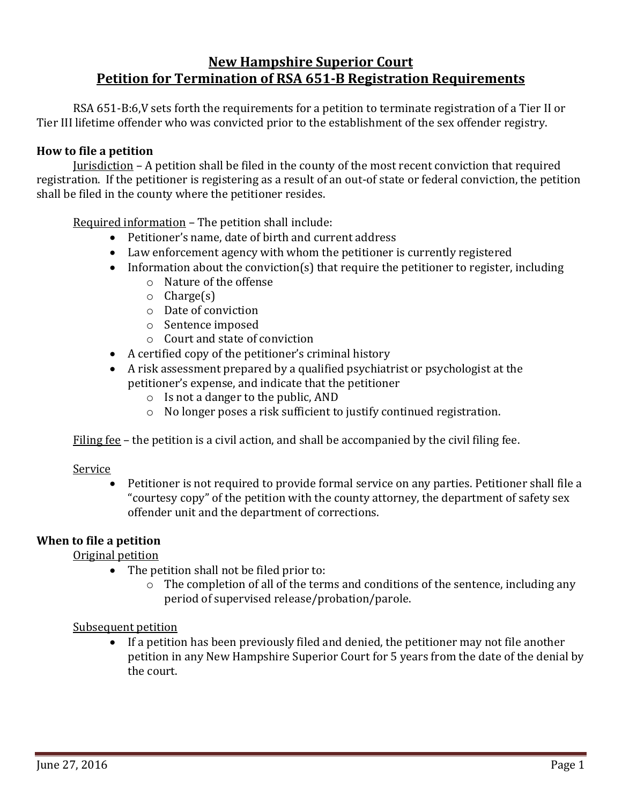# **New Hampshire Superior Court Petition for Termination of RSA 651-B Registration Requirements**

RSA 651-B:6,V sets forth the requirements for a petition to terminate registration of a Tier II or Tier III lifetime offender who was convicted prior to the establishment of the sex offender registry.

#### **How to file a petition**

Jurisdiction – A petition shall be filed in the county of the most recent conviction that required registration. If the petitioner is registering as a result of an out-of state or federal conviction, the petition shall be filed in the county where the petitioner resides.

Required information – The petition shall include:

- Petitioner's name, date of birth and current address
- Law enforcement agency with whom the petitioner is currently registered
- Information about the conviction(s) that require the petitioner to register, including
	- o Nature of the offense
	- o Charge(s)
	- o Date of conviction
	- o Sentence imposed
	- o Court and state of conviction
- A certified copy of the petitioner's criminal history
- A risk assessment prepared by a qualified psychiatrist or psychologist at the petitioner's expense, and indicate that the petitioner
	- o Is not a danger to the public, AND
	- o No longer poses a risk sufficient to justify continued registration.

Filing fee – the petition is a civil action, and shall be accompanied by the civil filing fee.

### Service

 Petitioner is not required to provide formal service on any parties. Petitioner shall file a "courtesy copy" of the petition with the county attorney, the department of safety sex offender unit and the department of corrections.

# **When to file a petition**

Original petition

- The petition shall not be filed prior to:
	- o The completion of all of the terms and conditions of the sentence, including any period of supervised release/probation/parole.

# Subsequent petition

 If a petition has been previously filed and denied, the petitioner may not file another petition in any New Hampshire Superior Court for 5 years from the date of the denial by the court.